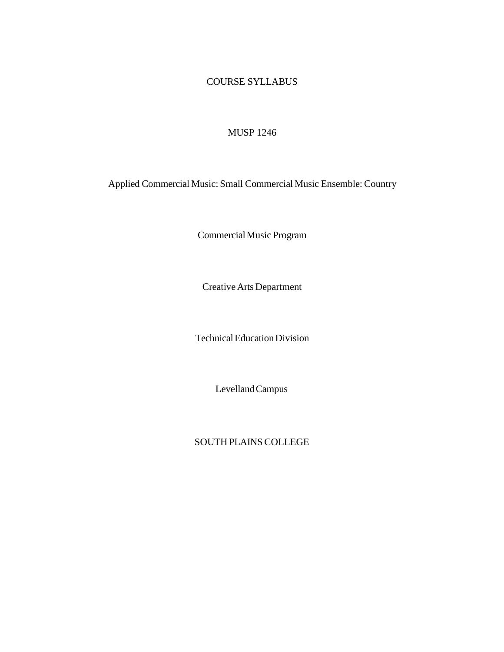## COURSE SYLLABUS

## MUSP 1246

Applied Commercial Music: Small Commercial Music Ensemble: Country

CommercialMusic Program

Creative Arts Department

Technical Education Division

LevellandCampus

SOUTH PLAINSCOLLEGE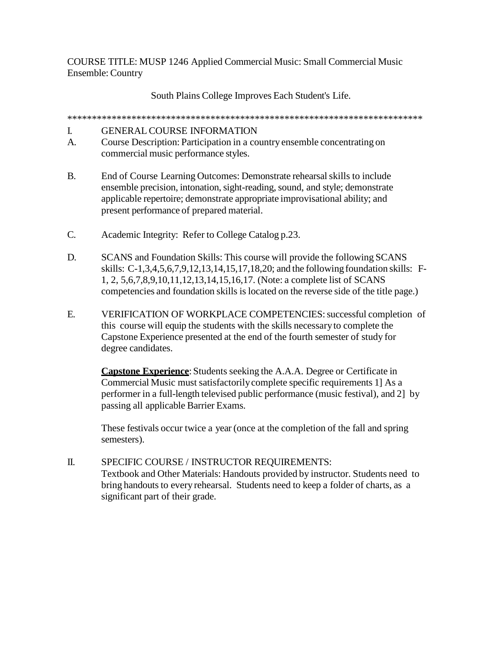COURSE TITLE: MUSP 1246 Applied Commercial Music: Small Commercial Music Ensemble: Country

South Plains College Improves Each Student's Life.

\*\*\*\*\*\*\*\*\*\*\*\*\*\*\*\*\*\*\*\*\*\*\*\*\*\*\*\*\*\*\*\*\*\*\*\*\*\*\*\*\*\*\*\*\*\*\*\*\*\*\*\*\*\*\*\*\*\*\*\*\*\*\*\*\*\*\*\*\*\*\*\*

## I. GENERAL COURSE INFORMATION

- A. Course Description: Participation in a country ensemble concentrating on commercial music performance styles.
- B. End of Course Learning Outcomes: Demonstrate rehearsal skills to include ensemble precision, intonation, sight-reading, sound, and style; demonstrate applicable repertoire; demonstrate appropriate improvisational ability; and present performance of prepared material.
- C. Academic Integrity: Refer to College Catalog p.23.
- D. SCANS and Foundation Skills: This course will provide the following SCANS skills: C-1,3,4,5,6,7,9,12,13,14,15,17,18,20; and the followingfoundation skills: F-1, 2, 5,6,7,8,9,10,11,12,13,14,15,16,17. (Note: a complete list of SCANS competencies and foundation skills is located on the reverse side of the title page.)
- E. VERIFICATION OF WORKPLACE COMPETENCIES: successful completion of this course will equip the students with the skills necessaryto complete the Capstone Experience presented at the end of the fourth semester of study for degree candidates.

**Capstone Experience**: Students seeking the A.A.A. Degree or Certificate in Commercial Music must satisfactorilycomplete specific requirements 1] As a performer in a full-length televised public performance (music festival), and 2] by passing all applicable Barrier Exams.

These festivals occur twice a year (once at the completion of the fall and spring semesters).

II. SPECIFIC COURSE / INSTRUCTOR REQUIREMENTS: Textbook and Other Materials: Handouts provided by instructor. Students need to bring handouts to every rehearsal. Students need to keep a folder of charts, as a significant part of their grade.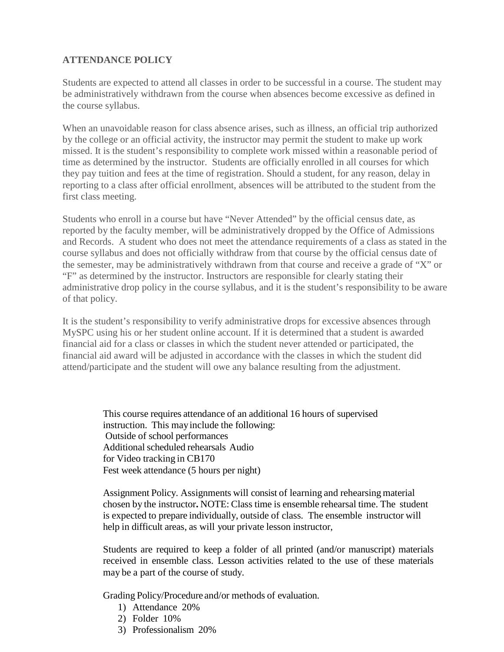## **ATTENDANCE POLICY**

Students are expected to attend all classes in order to be successful in a course. The student may be administratively withdrawn from the course when absences become excessive as defined in the course syllabus.

When an unavoidable reason for class absence arises, such as illness, an official trip authorized by the college or an official activity, the instructor may permit the student to make up work missed. It is the student's responsibility to complete work missed within a reasonable period of time as determined by the instructor. Students are officially enrolled in all courses for which they pay tuition and fees at the time of registration. Should a student, for any reason, delay in reporting to a class after official enrollment, absences will be attributed to the student from the first class meeting.

Students who enroll in a course but have "Never Attended" by the official census date, as reported by the faculty member, will be administratively dropped by the Office of Admissions and Records. A student who does not meet the attendance requirements of a class as stated in the course syllabus and does not officially withdraw from that course by the official census date of the semester, may be administratively withdrawn from that course and receive a grade of "X" or "F" as determined by the instructor. Instructors are responsible for clearly stating their administrative drop policy in the course syllabus, and it is the student's responsibility to be aware of that policy.

It is the student's responsibility to verify administrative drops for excessive absences through MySPC using his or her student online account. If it is determined that a student is awarded financial aid for a class or classes in which the student never attended or participated, the financial aid award will be adjusted in accordance with the classes in which the student did attend/participate and the student will owe any balance resulting from the adjustment.

> This course requires attendance of an additional 16 hours of supervised instruction. This mayinclude the following: Outside of school performances Additional scheduled rehearsals Audio for Video tracking in CB170 Fest week attendance (5 hours per night)

Assignment Policy. Assignments will consist of learning and rehearsing material chosen by the instructor**.** NOTE: Class time is ensemble rehearsal time. The student is expected to prepare individually, outside of class. The ensemble instructor will help in difficult areas, as will your private lesson instructor,

Students are required to keep a folder of all printed (and/or manuscript) materials received in ensemble class. Lesson activities related to the use of these materials may be a part of the course of study.

Grading Policy/Procedure and/or methods of evaluation.

- 1) Attendance 20%
- 2) Folder 10%
- 3) Professionalism 20%